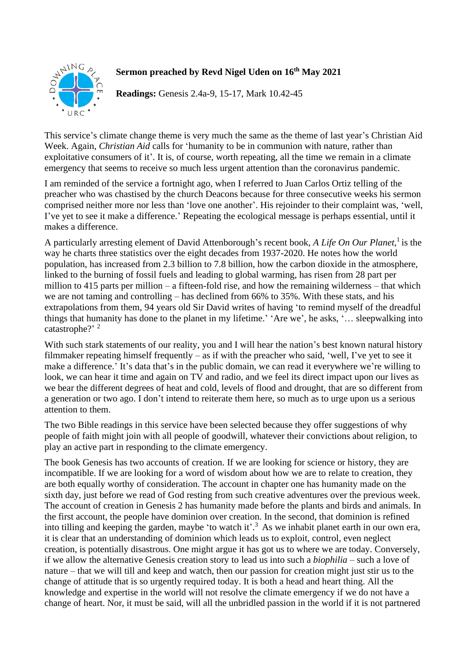

## **Sermon preached by Revd Nigel Uden on 16th May 2021**

**Readings:** Genesis 2.4a-9, 15-17, Mark 10.42-45

This service's climate change theme is very much the same as the theme of last year's Christian Aid Week. Again, *Christian Aid* calls for 'humanity to be in communion with nature, rather than exploitative consumers of it'. It is, of course, worth repeating, all the time we remain in a climate emergency that seems to receive so much less urgent attention than the coronavirus pandemic.

I am reminded of the service a fortnight ago, when I referred to Juan Carlos Ortiz telling of the preacher who was chastised by the church Deacons because for three consecutive weeks his sermon comprised neither more nor less than 'love one another'. His rejoinder to their complaint was, 'well, I've yet to see it make a difference.' Repeating the ecological message is perhaps essential, until it makes a difference.

A particularly arresting element of David Attenborough's recent book, *A Life On Our Planet,*<sup>1</sup> is the way he charts three statistics over the eight decades from 1937-2020. He notes how the world population, has increased from 2.3 billion to 7.8 billion, how the carbon dioxide in the atmosphere, linked to the burning of fossil fuels and leading to global warming, has risen from 28 part per million to 415 parts per million – a fifteen-fold rise, and how the remaining wilderness – that which we are not taming and controlling – has declined from 66% to 35%. With these stats, and his extrapolations from them, 94 years old Sir David writes of having 'to remind myself of the dreadful things that humanity has done to the planet in my lifetime.' 'Are we', he asks, '… sleepwalking into catastrophe?'<sup>2</sup>

With such stark statements of our reality, you and I will hear the nation's best known natural history filmmaker repeating himself frequently – as if with the preacher who said, 'well, I've yet to see it make a difference.' It's data that's in the public domain, we can read it everywhere we're willing to look, we can hear it time and again on TV and radio, and we feel its direct impact upon our lives as we bear the different degrees of heat and cold, levels of flood and drought, that are so different from a generation or two ago. I don't intend to reiterate them here, so much as to urge upon us a serious attention to them.

The two Bible readings in this service have been selected because they offer suggestions of why people of faith might join with all people of goodwill, whatever their convictions about religion, to play an active part in responding to the climate emergency.

The book Genesis has two accounts of creation. If we are looking for science or history, they are incompatible. If we are looking for a word of wisdom about how we are to relate to creation, they are both equally worthy of consideration. The account in chapter one has humanity made on the sixth day, just before we read of God resting from such creative adventures over the previous week. The account of creation in Genesis 2 has humanity made before the plants and birds and animals. In the first account, the people have dominion over creation. In the second, that dominion is refined into tilling and keeping the garden, maybe 'to watch it'.<sup>3</sup> As we inhabit planet earth in our own era, it is clear that an understanding of dominion which leads us to exploit, control, even neglect creation, is potentially disastrous. One might argue it has got us to where we are today. Conversely, if we allow the alternative Genesis creation story to lead us into such a *biophilia* – such a love of nature – that we will till and keep and watch, then our passion for creation might just stir us to the change of attitude that is so urgently required today. It is both a head and heart thing. All the knowledge and expertise in the world will not resolve the climate emergency if we do not have a change of heart. Nor, it must be said, will all the unbridled passion in the world if it is not partnered